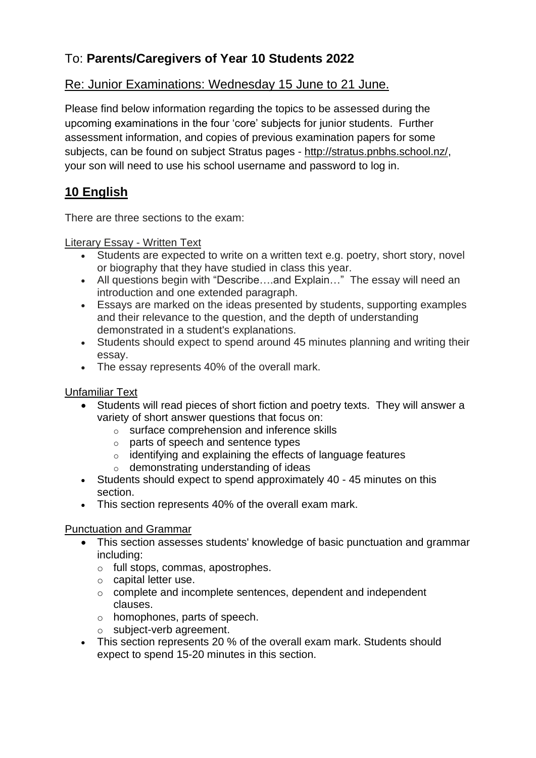# To: **Parents/Caregivers of Year 10 Students 2022**

### Re: Junior Examinations: Wednesday 15 June to 21 June.

Please find below information regarding the topics to be assessed during the upcoming examinations in the four 'core' subjects for junior students. Further assessment information, and copies of previous examination papers for some subjects, can be found on subject Stratus pages - [http://stratus.pnbhs.school.nz/,](http://stratus.pnbhs.school.nz/) your son will need to use his school username and password to log in.

## **10 English**

There are three sections to the exam:

#### Literary Essay - Written Text

- Students are expected to write on a written text e.g. poetry, short story, novel or biography that they have studied in class this year.
- All questions begin with "Describe....and Explain..." The essay will need an introduction and one extended paragraph.
- Essays are marked on the ideas presented by students, supporting examples and their relevance to the question, and the depth of understanding demonstrated in a student's explanations.
- Students should expect to spend around 45 minutes planning and writing their essay.
- The essay represents 40% of the overall mark.

### Unfamiliar Text

- Students will read pieces of short fiction and poetry texts. They will answer a variety of short answer questions that focus on:
	- o surface comprehension and inference skills
	- o parts of speech and sentence types
	- o identifying and explaining the effects of language features
	- o demonstrating understanding of ideas
- Students should expect to spend approximately 40 45 minutes on this section.
- This section represents 40% of the overall exam mark.

### Punctuation and Grammar

- This section assesses students' knowledge of basic punctuation and grammar including:
	- o full stops, commas, apostrophes.
	- o capital letter use.
	- o complete and incomplete sentences, dependent and independent clauses.
	- o homophones, parts of speech.
	- o subject-verb agreement.
- This section represents 20 % of the overall exam mark. Students should expect to spend 15-20 minutes in this section.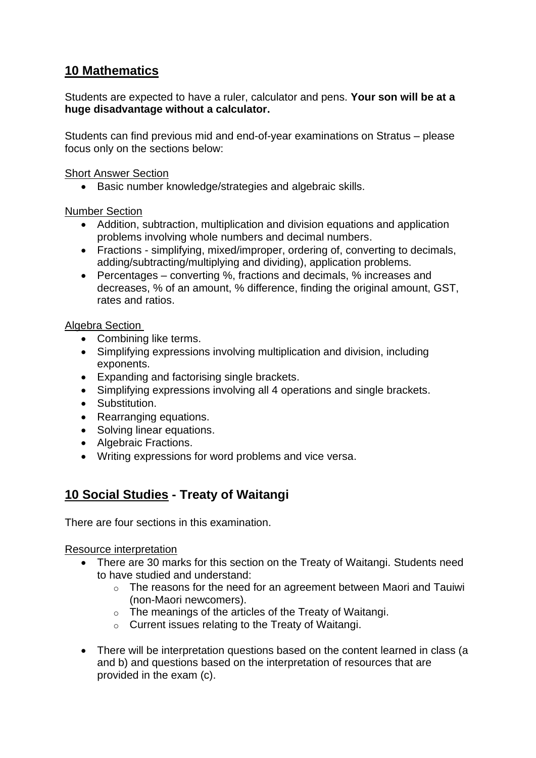# **10 Mathematics**

Students are expected to have a ruler, calculator and pens. **Your son will be at a huge disadvantage without a calculator.**

Students can find previous mid and end-of-year examinations on Stratus – please focus only on the sections below:

Short Answer Section

• Basic number knowledge/strategies and algebraic skills.

Number Section

- Addition, subtraction, multiplication and division equations and application problems involving whole numbers and decimal numbers.
- Fractions simplifying, mixed/improper, ordering of, converting to decimals, adding/subtracting/multiplying and dividing), application problems.
- Percentages converting %, fractions and decimals, % increases and decreases, % of an amount, % difference, finding the original amount, GST, rates and ratios.

### Algebra Section

- Combining like terms.
- Simplifying expressions involving multiplication and division, including exponents.
- Expanding and factorising single brackets.
- Simplifying expressions involving all 4 operations and single brackets.
- Substitution.
- Rearranging equations.
- Solving linear equations.
- Algebraic Fractions.
- Writing expressions for word problems and vice versa.

## **10 Social Studies - Treaty of Waitangi**

There are four sections in this examination.

Resource interpretation

- There are 30 marks for this section on the Treaty of Waitangi. Students need to have studied and understand:
	- o The reasons for the need for an agreement between Maori and Tauiwi (non-Maori newcomers).
	- o The meanings of the articles of the Treaty of Waitangi.
	- o Current issues relating to the Treaty of Waitangi.
- There will be interpretation questions based on the content learned in class (a and b) and questions based on the interpretation of resources that are provided in the exam (c).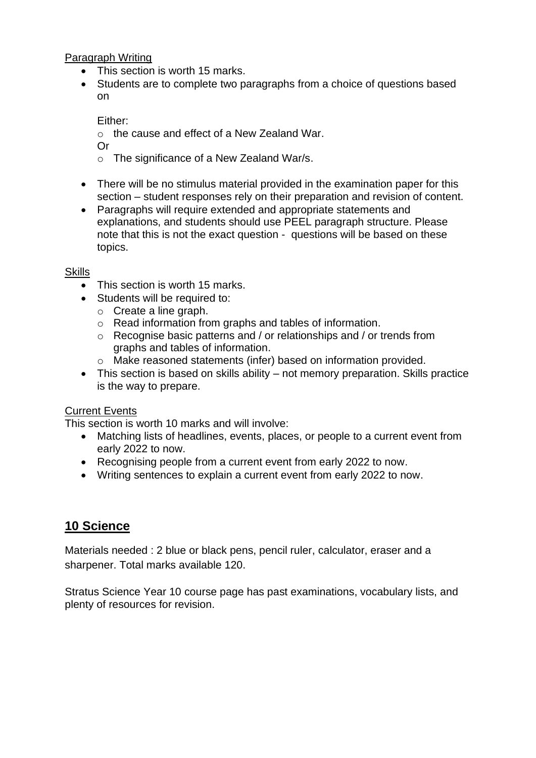Paragraph Writing

- This section is worth 15 marks.
- Students are to complete two paragraphs from a choice of questions based on

Either:

o the cause and effect of a New Zealand War.

Or

- o The significance of a New Zealand War/s.
- There will be no stimulus material provided in the examination paper for this section – student responses rely on their preparation and revision of content.
- Paragraphs will require extended and appropriate statements and explanations, and students should use PEEL paragraph structure. Please note that this is not the exact question - questions will be based on these topics.

### **Skills**

- This section is worth 15 marks.
- Students will be required to:
	- o Create a line graph.
	- o Read information from graphs and tables of information.
	- o Recognise basic patterns and / or relationships and / or trends from graphs and tables of information.
	- o Make reasoned statements (infer) based on information provided.
- This section is based on skills ability not memory preparation. Skills practice is the way to prepare.

#### Current Events

This section is worth 10 marks and will involve:

- Matching lists of headlines, events, places, or people to a current event from early 2022 to now.
- Recognising people from a current event from early 2022 to now.
- Writing sentences to explain a current event from early 2022 to now.

### **10 Science**

Materials needed : 2 blue or black pens, pencil ruler, calculator, eraser and a sharpener. Total marks available 120.

Stratus Science Year 10 course page has past examinations, vocabulary lists, and plenty of resources for revision.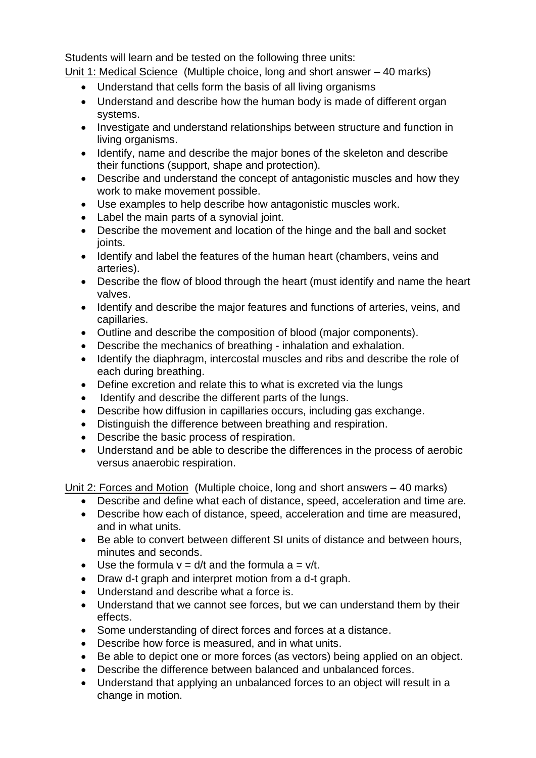Students will learn and be tested on the following three units:

Unit 1: Medical Science (Multiple choice, long and short answer – 40 marks)

- Understand that cells form the basis of all living organisms
- Understand and describe how the human body is made of different organ systems.
- Investigate and understand relationships between structure and function in living organisms.
- Identify, name and describe the major bones of the skeleton and describe their functions (support, shape and protection).
- Describe and understand the concept of antagonistic muscles and how they work to make movement possible.
- Use examples to help describe how antagonistic muscles work.
- Label the main parts of a synovial joint.
- Describe the movement and location of the hinge and the ball and socket joints.
- Identify and label the features of the human heart (chambers, veins and arteries).
- Describe the flow of blood through the heart (must identify and name the heart valves.
- Identify and describe the major features and functions of arteries, veins, and capillaries.
- Outline and describe the composition of blood (major components).
- Describe the mechanics of breathing inhalation and exhalation.
- Identify the diaphragm, intercostal muscles and ribs and describe the role of each during breathing.
- Define excretion and relate this to what is excreted via the lungs
- Identify and describe the different parts of the lungs.
- Describe how diffusion in capillaries occurs, including gas exchange.
- Distinguish the difference between breathing and respiration.
- Describe the basic process of respiration.
- Understand and be able to describe the differences in the process of aerobic versus anaerobic respiration.

Unit 2: Forces and Motion (Multiple choice, long and short answers – 40 marks)

- Describe and define what each of distance, speed, acceleration and time are.
- Describe how each of distance, speed, acceleration and time are measured, and in what units.
- Be able to convert between different SI units of distance and between hours, minutes and seconds.
- Use the formula  $v = d/t$  and the formula  $a = v/t$ .
- Draw d-t graph and interpret motion from a d-t graph.
- Understand and describe what a force is.
- Understand that we cannot see forces, but we can understand them by their effects.
- Some understanding of direct forces and forces at a distance.
- Describe how force is measured, and in what units.
- Be able to depict one or more forces (as vectors) being applied on an object.
- Describe the difference between balanced and unbalanced forces.
- Understand that applying an unbalanced forces to an object will result in a change in motion.